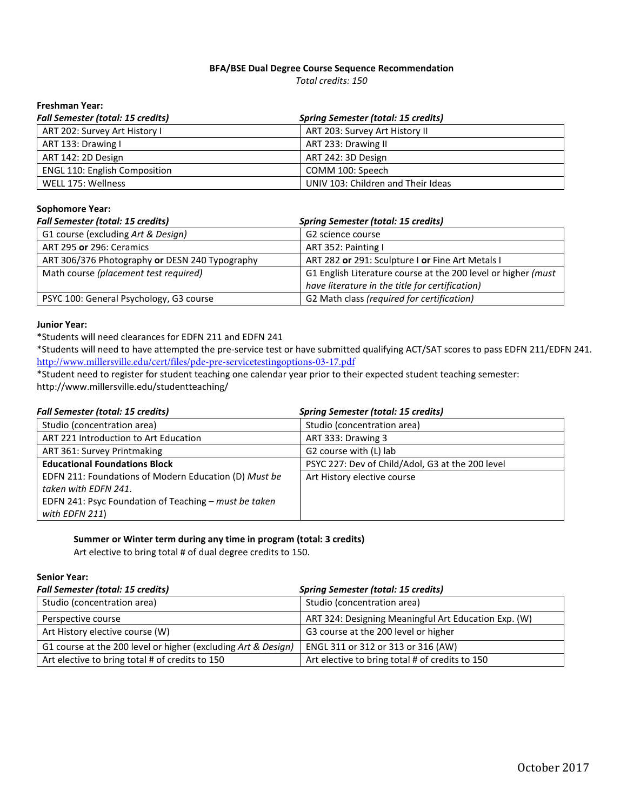## **BFA/BSE Dual Degree Course Sequence Recommendation**

*Total credits: 150*

## **Freshman Year:**

| <b>Fall Semester (total: 15 credits)</b> | <b>Spring Semester (total: 15 credits)</b> |
|------------------------------------------|--------------------------------------------|
| ART 202: Survey Art History I            | ART 203: Survey Art History II             |
| ART 133: Drawing I                       | ART 233: Drawing II                        |
| ART 142: 2D Design                       | ART 242: 3D Design                         |
| <b>ENGL 110: English Composition</b>     | COMM 100: Speech                           |
| WELL 175: Wellness                       | UNIV 103: Children and Their Ideas         |

## **Sophomore Year:**

| <b>Fall Semester (total: 15 credits)</b>       | <b>Spring Semester (total: 15 credits)</b>                                                                       |
|------------------------------------------------|------------------------------------------------------------------------------------------------------------------|
| G1 course (excluding Art & Design)             | G2 science course                                                                                                |
| ART 295 or 296: Ceramics                       | ART 352: Painting I                                                                                              |
| ART 306/376 Photography or DESN 240 Typography | ART 282 or 291: Sculpture I or Fine Art Metals I                                                                 |
| Math course (placement test required)          | G1 English Literature course at the 200 level or higher (must<br>have literature in the title for certification) |
| PSYC 100: General Psychology, G3 course        | G2 Math class (required for certification)                                                                       |

#### **Junior Year:**

\*Students will need clearances for EDFN 211 and EDFN 241

\*Students will need to have attempted the pre-service test or have submitted qualifying ACT/SAT scores to pass EDFN 211/EDFN 241. <http://www.millersville.edu/cert/files/pde-pre-servicetestingoptions-03-17.pdf>

\*Student need to register for student teaching one calendar year prior to their expected student teaching semester: http://www.millersville.edu/studentteaching/

| <b>Fall Semester (total: 15 credits)</b>              | <b>Spring Semester (total: 15 credits)</b>       |
|-------------------------------------------------------|--------------------------------------------------|
| Studio (concentration area)                           | Studio (concentration area)                      |
| ART 221 Introduction to Art Education                 | ART 333: Drawing 3                               |
| ART 361: Survey Printmaking                           | G2 course with (L) lab                           |
| <b>Educational Foundations Block</b>                  | PSYC 227: Dev of Child/Adol, G3 at the 200 level |
| EDFN 211: Foundations of Modern Education (D) Must be | Art History elective course                      |
| taken with EDFN 241.                                  |                                                  |
| EDFN 241: Psyc Foundation of Teaching – must be taken |                                                  |
| with EDFN 211)                                        |                                                  |

## **Summer or Winter term during any time in program (total: 3 credits)**

Art elective to bring total # of dual degree credits to 150.

## **Senior Year:**

| <b>Fall Semester (total: 15 credits)</b>                      | <b>Spring Semester (total: 15 credits)</b>           |
|---------------------------------------------------------------|------------------------------------------------------|
| Studio (concentration area)                                   | Studio (concentration area)                          |
| Perspective course                                            | ART 324: Designing Meaningful Art Education Exp. (W) |
| Art History elective course (W)                               | G3 course at the 200 level or higher                 |
| G1 course at the 200 level or higher (excluding Art & Design) | ENGL 311 or 312 or 313 or 316 (AW)                   |
| Art elective to bring total # of credits to 150               | Art elective to bring total # of credits to 150      |